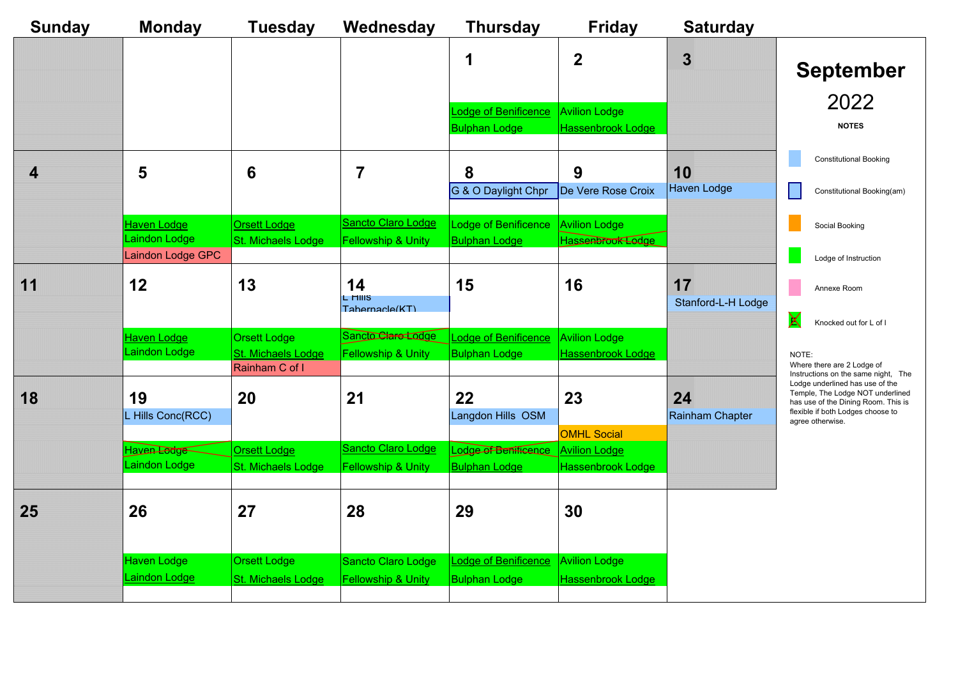| rday     |                                                                                                                                                                                             |  |
|----------|---------------------------------------------------------------------------------------------------------------------------------------------------------------------------------------------|--|
|          | <b>September</b><br>2022<br><b>NOTES</b>                                                                                                                                                    |  |
|          | <b>Constitutional Booking</b>                                                                                                                                                               |  |
| ge       | Constitutional Booking(am)                                                                                                                                                                  |  |
|          | Social Booking                                                                                                                                                                              |  |
|          | Lodge of Instruction                                                                                                                                                                        |  |
| -H Lodge | Annexe Room                                                                                                                                                                                 |  |
|          | Knocked out for L of I                                                                                                                                                                      |  |
|          | NOTE:<br>Where there are 2 Lodge of<br>Instructions on the same night,<br>The<br>Lodge underlined has use of the<br>Temple, The Lodge NOT underlined<br>has use of the Dining Room. This is |  |
| hapter   | flexible if both Lodges choose to<br>agree otherwise.                                                                                                                                       |  |

| <b>Sunday</b> | <b>Monday</b>                             | <b>Tuesday</b>                            | Wednesday                                           | <b>Thursday</b>                                     | <b>Friday</b>                                    | <b>Saturday</b>          |
|---------------|-------------------------------------------|-------------------------------------------|-----------------------------------------------------|-----------------------------------------------------|--------------------------------------------------|--------------------------|
|               |                                           |                                           |                                                     |                                                     | $\bf{2}$                                         | 3                        |
|               |                                           |                                           |                                                     |                                                     |                                                  |                          |
|               |                                           |                                           |                                                     | <b>Lodge of Benificence</b>                         | <b>Avilion Lodge</b>                             |                          |
|               |                                           |                                           |                                                     | <b>Bulphan Lodge</b>                                | <b>Hassenbrook Lodge</b>                         |                          |
| 4             | 5                                         | $6\phantom{1}6$                           |                                                     | 8                                                   | 9                                                | <b>10</b>                |
|               |                                           |                                           |                                                     | G & O Daylight Chpr                                 | De Vere Rose Croix                               | <b>Haven Lodge</b>       |
|               | <b>Haven Lodge</b>                        | <u>Orsett Lodge</u>                       | Sancto Claro Lodge                                  | <b>Lodge of Benificence</b>                         | <b>Avilion Lodge</b>                             |                          |
|               | Laindon Lodge<br><b>Laindon Lodge GPC</b> | <b>St. Michaels Lodge</b>                 | <b>Fellowship &amp; Unity</b>                       | <b>Bulphan Lodge</b>                                | Hassenbrook Ledge                                |                          |
|               |                                           |                                           |                                                     |                                                     |                                                  |                          |
| 11            | $\bf 12$                                  | 13                                        | 14<br>L HIIIS                                       | 15                                                  | 16                                               | 17<br>Stanford-L-H Lodge |
|               |                                           |                                           | Tahernacle(KT)                                      |                                                     |                                                  |                          |
|               | <u>Haven Lodge</u><br>Laindon Lodge       | <b>Orsett Lodge</b><br>St. Michaels Lodge | Sancto Clare Lodge<br><b>Fellowship &amp; Unity</b> | <b>Lodge of Benificence</b><br><b>Bulphan Lodge</b> | <b>Avilion Lodge</b><br><b>Hassenbrook Lodge</b> |                          |
|               |                                           | Rainham C of I                            |                                                     |                                                     |                                                  |                          |
| 18            | 19                                        | <b>20</b>                                 | 21                                                  | <b>22</b>                                           | 23                                               | 24                       |
|               | L Hills Conc(RCC)                         |                                           |                                                     | Langdon Hills OSM                                   |                                                  | <b>Rainham Chapter</b>   |
|               | Haven Lodge                               | <b>Orsett Lodge</b>                       | Sancto Claro Lodge                                  | Lodge of Bentisence Avilion Lodge                   | <b>OMHL Social</b>                               |                          |
|               | Laindon Lodge                             | <b>St. Michaels Lodge</b>                 | <b>Fellowship &amp; Unity</b>                       | <b>Bulphan Lodge</b>                                | Hassenbrook Lodge                                |                          |
|               |                                           |                                           |                                                     |                                                     |                                                  |                          |
| <b>25</b>     | 26                                        | 27                                        | 28                                                  | 29                                                  | 30                                               |                          |
|               |                                           |                                           |                                                     |                                                     |                                                  |                          |
|               | <b>Haven Lodge</b>                        | <b>Orsett Lodge</b>                       | <b>Sancto Claro Lodge</b>                           | <b>Lodge of Benificence</b>                         | <b>Avilion Lodge</b>                             |                          |
|               | Laindon Lodge                             | <b>St. Michaels Lodge</b>                 | <b>Fellowship &amp; Unity</b>                       | <b>Bulphan Lodge</b>                                | Hassenbrook Lodge                                |                          |
|               |                                           |                                           |                                                     |                                                     |                                                  |                          |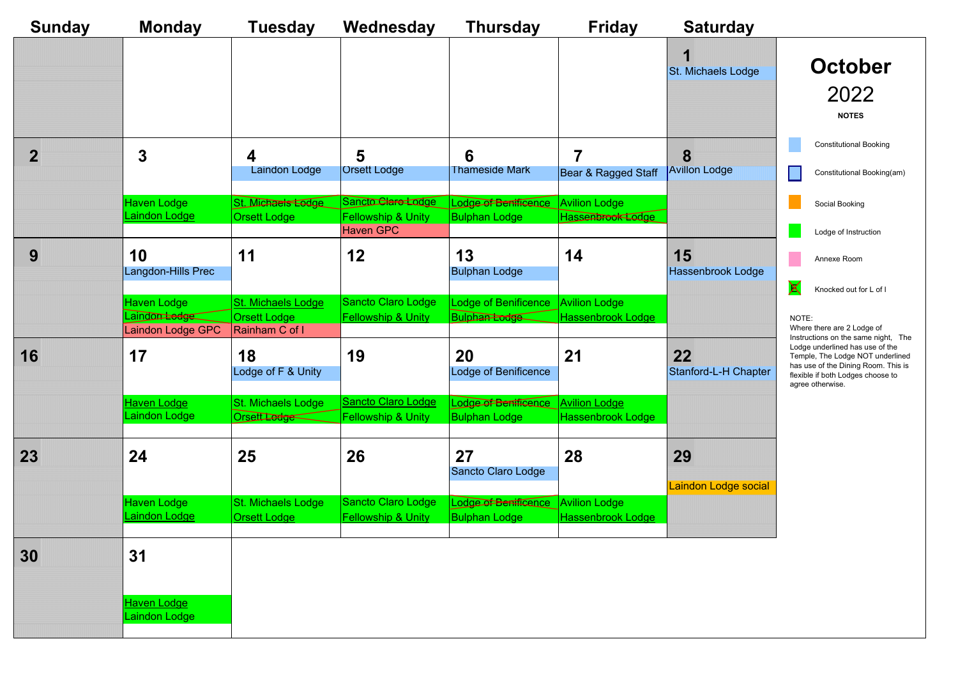| <b>Sunday</b> | <b>Monday</b>                       | <b>Tuesday</b>                            | Wednesday                                           | <b>Thursday</b>                                            | <b>Friday</b>                             | <b>Saturday</b>                                           |
|---------------|-------------------------------------|-------------------------------------------|-----------------------------------------------------|------------------------------------------------------------|-------------------------------------------|-----------------------------------------------------------|
|               |                                     |                                           |                                                     |                                                            |                                           |                                                           |
|               |                                     |                                           |                                                     |                                                            |                                           | St. Michaels Lodge                                        |
|               |                                     |                                           |                                                     |                                                            |                                           |                                                           |
|               | 3                                   | 4                                         | 5                                                   | 6                                                          |                                           | 8                                                         |
|               |                                     | <b>Laindon Lodge</b>                      | <b>Orsett Lodge</b>                                 | <b>Thameside Mark</b>                                      | Bear & Ragged Staff                       | <b>Avillon Lodge</b>                                      |
|               | <b>Haven Lodge</b><br>Laindon Lodge | St. Michaels Lodge                        | Sancto Clare Lodge                                  | Lodge of Benificance                                       | <b>Avilion Lodge</b>                      |                                                           |
|               |                                     | <b>Orsett Lodge</b>                       | <b>Fellowship &amp; Unity</b><br><b>Haven GPC</b>   | <b>Bulphan Lodge</b>                                       | Hassenbrook Lodge                         |                                                           |
| 9             | 10                                  | 11                                        | 12                                                  | 13                                                         | 14                                        | 15                                                        |
|               | Langdon-Hills Prec                  |                                           |                                                     | <b>Bulphan Lodge</b>                                       |                                           | <b>Hassenbrook Lodge</b><br>$\bm{\mathsf{X}}$             |
|               | <b>Haven Lodge</b><br>Laindon tedge | St. Michaels Lodge<br><b>Orsett Lodge</b> | Sancto Claro Lodge<br><b>Fellowship &amp; Unity</b> | Lodge of Benificence<br>Bulpha <del>n Lodge</del>          | <b>Avilion Lodge</b><br>Hassenbrook Lodge | <b>NOTE</b>                                               |
|               | Laindon Lodge GPC                   | Rainham C of I                            |                                                     |                                                            |                                           | Where<br>Instruc<br>Lodge                                 |
| 16            | 17                                  | 18<br>Lodge of F & Unity                  | 19                                                  | <b>20</b><br>Lodge of Benificence                          | 21                                        | 22<br>Templ<br>has us<br>Stanford-L-H Chapter<br>flexible |
|               | <b>Haven Lodge</b>                  | St. Michaels Lodge                        | Sancto Claro Lodge                                  | Lodge of Benificance Avilion Lodge                         |                                           | agree                                                     |
|               | Laindon Lodge                       | Orsett Lodge                              | <b>Fellowship &amp; Unity</b>                       | <b>Bulphan Lodge</b>                                       | <b>Hassenbrook Lodge</b>                  |                                                           |
| 23            | 24                                  | 25                                        | 26                                                  | 27                                                         | 28                                        | 29                                                        |
|               |                                     |                                           |                                                     | Sancto Claro Lodge                                         |                                           | Laindon Lodge social                                      |
|               | <b>Haven Lodge</b><br>Laindon Lodge | St. Michaels Lodge<br><b>Orsett Lodge</b> | Sancto Claro Lodge<br><b>Fellowship &amp; Unity</b> | Lodge of Benificance Avilion Lodge<br><b>Bulphan Lodge</b> | <b>Hassenbrook Lodge</b>                  |                                                           |
|               |                                     |                                           |                                                     |                                                            |                                           |                                                           |
| 30            | 31                                  |                                           |                                                     |                                                            |                                           |                                                           |
|               |                                     |                                           |                                                     |                                                            |                                           |                                                           |
|               | <b>Haven Lodge</b><br>Laindon Lodge |                                           |                                                     |                                                            |                                           |                                                           |
|               |                                     |                                           |                                                     |                                                            |                                           |                                                           |

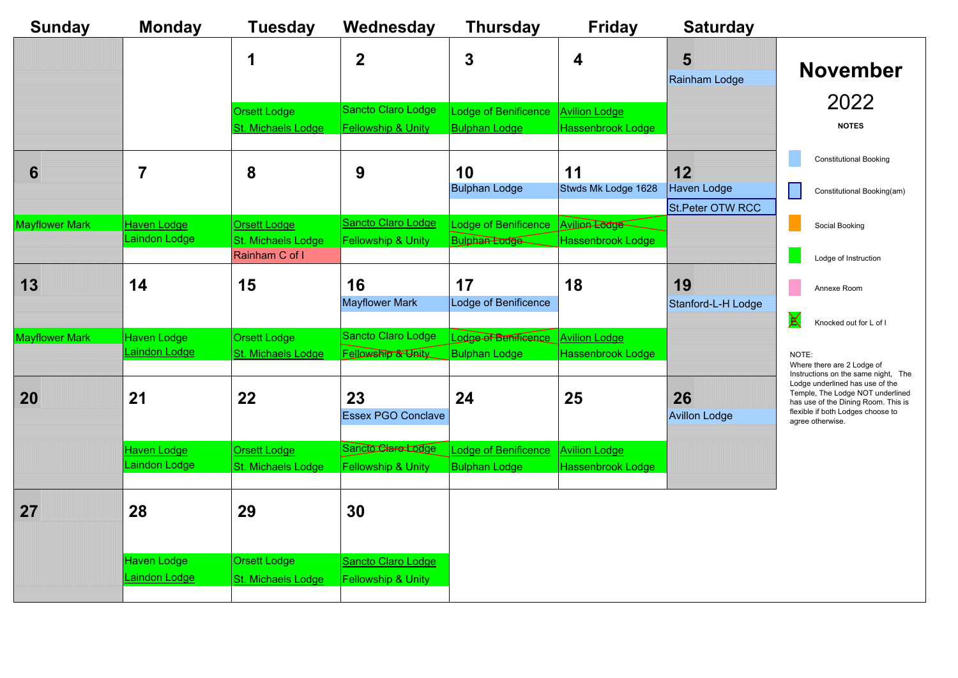| <sup>.</sup> day   |                                                                                                                                                                                                                                                   |
|--------------------|---------------------------------------------------------------------------------------------------------------------------------------------------------------------------------------------------------------------------------------------------|
| odge               | November<br>2022<br><b>NOTES</b>                                                                                                                                                                                                                  |
|                    | <b>Constitutional Booking</b>                                                                                                                                                                                                                     |
| jе<br><b>W RCC</b> | Constitutional Booking(am)                                                                                                                                                                                                                        |
|                    | Social Booking                                                                                                                                                                                                                                    |
|                    | Lodge of Instruction                                                                                                                                                                                                                              |
| H Lodge            | Annexe Room                                                                                                                                                                                                                                       |
|                    | Knocked out for L of I                                                                                                                                                                                                                            |
| gе                 | NOTE:<br>Where there are 2 Lodge of<br>Instructions on the same night, The<br>Lodge underlined has use of the<br>Temple, The Lodge NOT underlined<br>has use of the Dining Room. This is<br>flexible if both Lodges choose to<br>agree otherwise. |

| <b>Sunday</b>         | <b>Monday</b>                              | <b>Tuesday</b>            | Wednesday                     | <b>Thursday</b>      | <b>Friday</b>            | <b>Saturday</b>      |
|-----------------------|--------------------------------------------|---------------------------|-------------------------------|----------------------|--------------------------|----------------------|
|                       |                                            |                           | $\mathbf 2$                   | $\boldsymbol{3}$     | $\overline{\mathbf{4}}$  | 5                    |
|                       |                                            |                           |                               |                      |                          | <b>Rainham Lodge</b> |
|                       |                                            |                           |                               |                      |                          |                      |
|                       |                                            | <b>Orsett Lodge</b>       | <b>Sancto Claro Lodge</b>     | Lodge of Benificence | <b>Avilion Lodge</b>     |                      |
|                       |                                            | <b>St. Michaels Lodge</b> | <u>Fellowship &amp; Unity</u> | <b>Bulphan Lodge</b> | <b>Hassenbrook Lodge</b> |                      |
|                       |                                            |                           |                               |                      |                          |                      |
| 6                     |                                            | 8                         | 9                             | 10                   | 11                       | 12                   |
|                       |                                            |                           |                               | <b>Bulphan Lodge</b> | Stwds Mk Lodge 1628      | <b>Haven Lodge</b>   |
|                       |                                            |                           |                               |                      |                          | St.Peter OTW RCC     |
| <b>Mayflower Mark</b> | <b>Haven Lodge</b>                         | <b>Orsett Lodge</b>       | Sancto Claro Lodge            | Lodge of Benificence | Avilion Lodge            |                      |
|                       | Laindon Lodge                              | <b>St. Michaels Lodge</b> | <b>Fellowship &amp; Unity</b> | <b>Bulphan Lodge</b> | Hassenbrook Lodge        |                      |
|                       |                                            | Rainham C of I            |                               |                      |                          |                      |
| 13                    | 14                                         | 15                        | 16                            | 17                   | 18                       | 19                   |
|                       |                                            |                           | <b>Mayflower Mark</b>         | Lodge of Benificence |                          | Stanford-L-H Lodge   |
|                       |                                            |                           |                               |                      |                          |                      |
| Mayflower Mark        | <b>Haven Lodge</b>                         | <b>Orsett Lodge</b>       | <b>Sancto Claro Lodge</b>     | Lodge of Benificence | <b>Avilion Lodge</b>     |                      |
|                       | <b>Laindon Lodge</b>                       | St. Michaels Lodge        | Fellowship & Unity            | <b>Bulphan Lodge</b> | <b>Hassenbrook Lodge</b> |                      |
|                       |                                            |                           |                               |                      |                          |                      |
|                       |                                            |                           |                               |                      |                          |                      |
| 20                    | $21$                                       | $22 \,$                   | 23                            | 24                   | 25                       | <b>26</b>            |
|                       |                                            |                           | <b>Essex PGO Conclave</b>     |                      |                          | <b>Avillon Lodge</b> |
|                       | <b>Haven Lodge</b>                         | <u>Orsett Lodge</u>       | Sancto Clare Lodge            | Lodge of Benificence | <b>Avilion Lodge</b>     |                      |
|                       | Laindon Lodge                              | <b>St. Michaels Lodge</b> | <b>Fellowship &amp; Unity</b> | <b>Bulphan Lodge</b> | <b>Hassenbrook Lodge</b> |                      |
|                       |                                            |                           |                               |                      |                          |                      |
|                       |                                            |                           |                               |                      |                          |                      |
| 27                    | 28                                         | 29                        | 30                            |                      |                          |                      |
|                       |                                            |                           |                               |                      |                          |                      |
|                       |                                            | <b>Orsett Lodge</b>       |                               |                      |                          |                      |
|                       | <b>Haven Lodge</b><br><b>Laindon Lodge</b> |                           | Sancto Claro Lodge            |                      |                          |                      |
|                       |                                            | <b>St. Michaels Lodge</b> | <b>Fellowship &amp; Unity</b> |                      |                          |                      |
|                       |                                            |                           |                               |                      |                          |                      |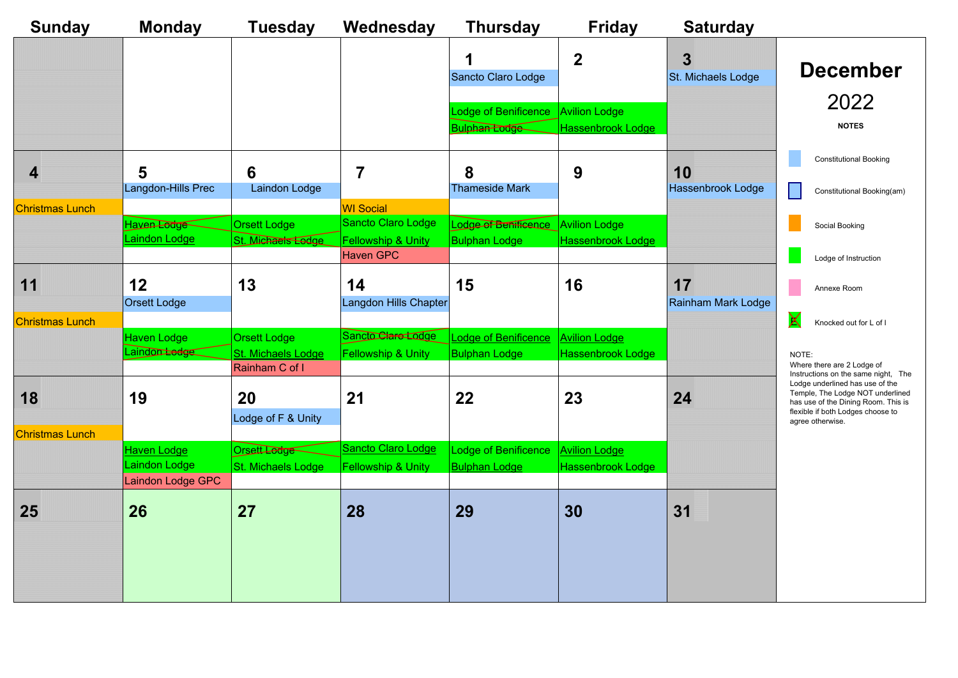| <b>Sunday</b>          | <b>Monday</b>                       | <b>Tuesday</b>                            | Wednesday                                                                      | <b>Thursday</b>                              | <b>Friday</b>                                    | <b>Saturday</b>                 |                                                                                                                                                                     |
|------------------------|-------------------------------------|-------------------------------------------|--------------------------------------------------------------------------------|----------------------------------------------|--------------------------------------------------|---------------------------------|---------------------------------------------------------------------------------------------------------------------------------------------------------------------|
|                        |                                     |                                           |                                                                                | Sancto Claro Lodge                           | $\mathbf 2$                                      | 3<br><b>St. Michaels Lodge</b>  | <b>December</b>                                                                                                                                                     |
|                        |                                     |                                           |                                                                                |                                              |                                                  |                                 | 2022                                                                                                                                                                |
|                        |                                     |                                           |                                                                                | Lodge of Benificence                         | <b>Avilion Lodge</b>                             |                                 | <b>NOTES</b>                                                                                                                                                        |
|                        |                                     |                                           |                                                                                | <b>Bulphan Lodge</b>                         | <b>Hassenbrook Lodge</b>                         |                                 |                                                                                                                                                                     |
| 4                      | 5                                   | 6                                         |                                                                                | 8                                            | 9                                                | 10                              | <b>Constitutional Booking</b>                                                                                                                                       |
|                        | Langdon-Hills Prec                  | Laindon Lodge                             |                                                                                | <b>Thameside Mark</b>                        |                                                  | Hassenbrook Lodge               | Constitutional Booking(am)                                                                                                                                          |
| <b>Christmas Lunch</b> | Haven Lodge<br>Laindon Lodge        | <b>Orsett Lodge</b><br>St. Michaels Eedge | <b>WI Social</b><br><b>Sancto Claro Lodge</b><br><b>Fellowship &amp; Unity</b> | Lodge of Benificance<br><b>Bulphan Lodge</b> | <b>Avilion Lodge</b><br><b>Hassenbrook Lodge</b> |                                 | Social Booking                                                                                                                                                      |
|                        |                                     |                                           | <b>Haven GPC</b>                                                               |                                              |                                                  |                                 | Lodge of Instruction                                                                                                                                                |
| 11                     | $12$<br><b>Orsett Lodge</b>         | 13                                        | 14<br>Langdon Hills Chapter                                                    | 15                                           | 16                                               | 17<br><b>Rainham Mark Lodge</b> | Annexe Room                                                                                                                                                         |
| <b>Christmas Lunch</b> |                                     |                                           |                                                                                |                                              |                                                  |                                 | $\bm{\mathsf{X}}$<br>Knocked out for L of I                                                                                                                         |
|                        | <b>Haven Lodge</b><br>Laindon Ledge | <b>Orsett Lodge</b>                       | Sancto Clare Lodge                                                             | <b>Lodge of Benificence</b>                  | <b>Avilion Lodge</b>                             |                                 |                                                                                                                                                                     |
|                        |                                     | St. Michaels Lodge<br>Rainham C of I      | <b>Fellowship &amp; Unity</b>                                                  | <b>Bulphan Lodge</b>                         | <b>Hassenbrook Lodge</b>                         |                                 | NOTE:<br>Where there are 2 Lodge of<br>Instructions on the same night, The                                                                                          |
| 18                     | 19                                  | 20<br>Lodge of F & Unity                  | 21                                                                             | 22                                           | 23                                               | 24                              | Lodge underlined has use of the<br>Temple, The Lodge NOT underlined<br>has use of the Dining Room. This is<br>flexible if both Lodges choose to<br>agree otherwise. |
| <b>Christmas Lunch</b> |                                     |                                           |                                                                                |                                              |                                                  |                                 |                                                                                                                                                                     |
|                        | <u> Haven Lodge</u>                 | Orsett Lodge                              | <b>Sancto Claro Lodge</b>                                                      | Lodge of Benificence                         | <b>Avilion Lodge</b>                             |                                 |                                                                                                                                                                     |
|                        | Laindon Lodge<br>Laindon Lodge GPC  | St. Michaels Lodge                        | <b>Fellowship &amp; Unity</b>                                                  | <b>Bulphan Lodge</b>                         | <b>Hassenbrook Lodge</b>                         |                                 |                                                                                                                                                                     |
| <b>25</b>              | <b>26</b>                           | 27                                        | 28                                                                             | 29                                           | 30                                               | 31                              |                                                                                                                                                                     |
|                        |                                     |                                           |                                                                                |                                              |                                                  |                                 |                                                                                                                                                                     |

| rday      |                                                                                                                                                                                                                                                      |
|-----------|------------------------------------------------------------------------------------------------------------------------------------------------------------------------------------------------------------------------------------------------------|
| s Lodge   | December<br>2022<br><b>NOTES</b>                                                                                                                                                                                                                     |
| ok Lodge  | <b>Constitutional Booking</b><br>Constitutional Booking(am)                                                                                                                                                                                          |
|           | Social Booking                                                                                                                                                                                                                                       |
| ark Lodge | Lodge of Instruction<br>Annexe Room                                                                                                                                                                                                                  |
|           | Knocked out for L of I                                                                                                                                                                                                                               |
|           | NOTE:<br>Where there are 2 Lodge of<br>Instructions on the same night,<br>The<br>Lodge underlined has use of the<br>Temple, The Lodge NOT underlined<br>has use of the Dining Room. This is<br>flexible if both Lodges choose to<br>agree otherwise. |
|           |                                                                                                                                                                                                                                                      |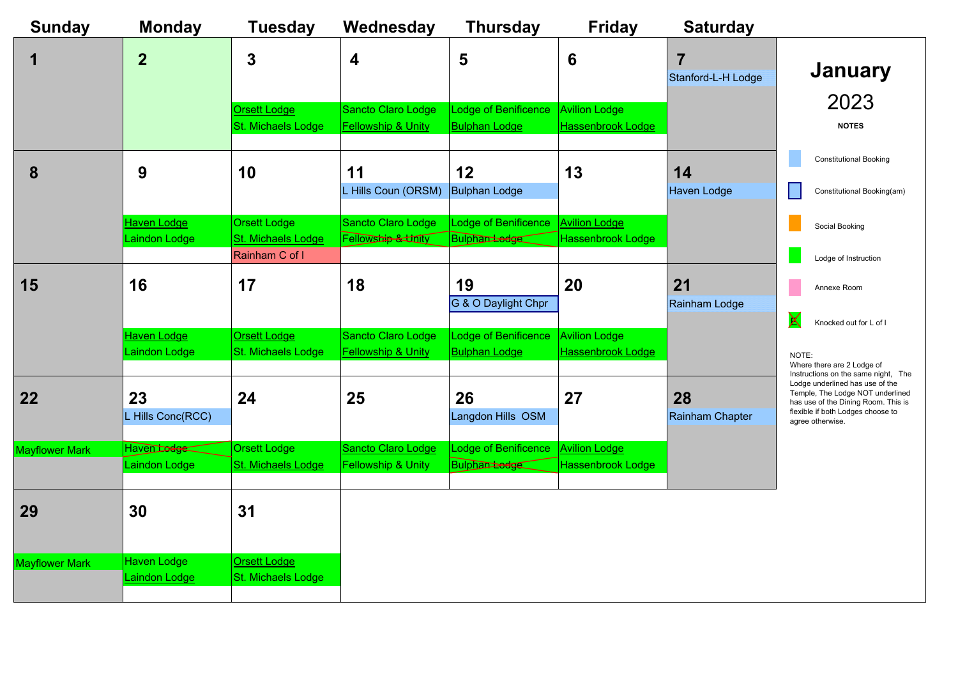

| <b>Sunday</b>         | <b>Monday</b>                           | <b>Tuesday</b>                                                     | Wednesday                                                  | <b>Thursday</b>                                         | <b>Friday</b>                                    | <b>Saturday</b>                                                               |
|-----------------------|-----------------------------------------|--------------------------------------------------------------------|------------------------------------------------------------|---------------------------------------------------------|--------------------------------------------------|-------------------------------------------------------------------------------|
|                       | 2                                       | 3                                                                  | 4                                                          | 5                                                       | $6\phantom{1}6$                                  | 7<br>Stanford-L-H Lodge                                                       |
|                       |                                         | <b>Orsett Lodge</b><br><b>St. Michaels Lodge</b>                   | Sancto Claro Lodge<br><b>Fellowship &amp; Unity</b>        | <b>Lodge of Benificence</b><br><b>Bulphan Lodge</b>     | <b>Avilion Lodge</b><br><b>Hassenbrook Lodge</b> |                                                                               |
| 8                     | 9                                       | 10                                                                 | 11<br>Hills Coun (ORSM)                                    | $12$<br><b>Bulphan Lodge</b>                            | 13                                               | 14<br><b>Haven Lodge</b>                                                      |
|                       | <b>Haven Lodge</b><br>Laindon Lodge     | <b>Orsett Lodge</b><br><b>St. Michaels Lodge</b><br>Rainham C of I | <b>Sancto Claro Lodge</b><br>Fellowship & Linity           | Lodge of Benificence<br>Bulphantedge                    | <b>Avilion Lodge</b><br><b>Hassenbrook Lodge</b> |                                                                               |
| 15                    | 16                                      | 17                                                                 | 18                                                         | 19<br>G & O Daylight Chpr                               | <b>20</b>                                        | 21<br><b>Rainham Lodge</b>                                                    |
|                       | <b>Haven Lodge</b><br>Laindon Lodge     | <b>Orsett Lodge</b><br>St. Michaels Lodge                          | <b>Sancto Claro Lodge</b><br><b>Fellowship &amp; Unity</b> | Lodge of Benificence<br><b>Bulphan Lodge</b>            | <b>Avilion Lodge</b><br><b>Hassenbrook Lodge</b> | $\bm{\mathsf{X}}$<br><b>NOTE</b><br>Where<br>Instruc                          |
| $\overline{22}$       | 23<br>L Hills Conc(RCC)                 | 24                                                                 | 25                                                         | 26<br>Langdon Hills OSM                                 | 27                                               | Lodge<br>Templ<br>28<br>has us<br>flexible<br><b>Rainham Chapter</b><br>agree |
| Mayflower Mark        | Haven <del>Lodge</del><br>Laindon Lodge | <b>Orsett Lodge</b><br><b>St. Michaels Lodge</b>                   | <b>Sancto Claro Lodge</b><br><b>Fellowship &amp; Unity</b> | <b>Lodge of Benificence</b><br>Bulphan <del>Lodge</del> | <b>Avilion Lodge</b><br>Hassenbrook Lodge        |                                                                               |
| 29                    | 30                                      | 31                                                                 |                                                            |                                                         |                                                  |                                                                               |
| <b>Mayflower Mark</b> | <b>Haven Lodge</b><br>Laindon Lodge     | Orsett Lodge<br>St. Michaels Lodge                                 |                                                            |                                                         |                                                  |                                                                               |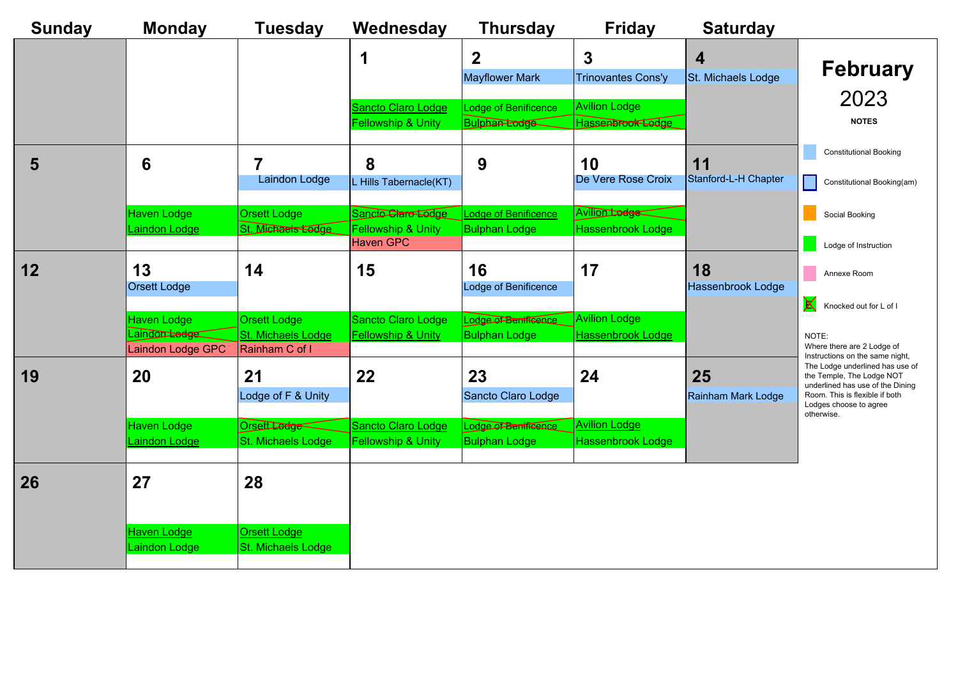| <b>Sunday</b> | <b>Monday</b>                       | <b>Tuesday</b>                             | Wednesday                                                  | <b>Thursday</b>                                  | <b>Friday</b>                             | <b>Saturday</b>            |                            |
|---------------|-------------------------------------|--------------------------------------------|------------------------------------------------------------|--------------------------------------------------|-------------------------------------------|----------------------------|----------------------------|
|               |                                     |                                            |                                                            |                                                  | 3                                         |                            |                            |
|               |                                     |                                            |                                                            | <b>Mayflower Mark</b>                            | <b>Trinovantes Cons'y</b>                 | St. Michaels Lodge         |                            |
|               |                                     |                                            | <b>Sancto Claro Lodge</b><br><b>Fellowship &amp; Unity</b> | Lodge of Benificence<br>Bulphan <del>Lodge</del> | <b>Avilion Lodge</b><br>Hassenbrook Lodge |                            |                            |
|               |                                     |                                            |                                                            |                                                  |                                           |                            | $\overline{\mathcal{L}}$   |
| 5             | 6                                   | Laindon Lodge                              | 8<br>Hills Tabernacle(KT)                                  | 9                                                | 10<br>De Vere Rose Croix                  | 11<br>Stanford-L-H Chapter | $\Box$ (                   |
|               | <b>Haven Lodge</b>                  | <b>Orsett Lodge</b>                        | Sancto Claro Lodge                                         | Lodge of Benificence                             | Avilion Lodge                             |                            | $\vert$ s                  |
|               | Laindon Lodge                       | St. Michaels Lodge                         | <b>Fellowship &amp; Unity</b><br><b>Haven GPC</b>          | <b>Bulphan Lodge</b>                             | <b>Hassenbrook Lodge</b>                  |                            |                            |
| 12            | 13<br><b>Orsett Lodge</b>           | 14                                         | 15                                                         | 16<br>Lodge of Benificence                       | 17                                        | 18<br>Hassenbrook Lodge    | $\vert$ /                  |
|               | Haven Lodge                         | <b>Orsett Lodge</b>                        | <b>Sancto Claro Lodge</b>                                  | Lodge of Benificence                             | <b>Avilion Lodge</b>                      |                            | $\mathsf{X}$ +             |
|               | Laindon Ledge                       | St. Michaels Lodge                         | <b>Fellowship &amp; Unity</b>                              | <b>Bulphan Lodge</b>                             | <b>Hassenbrook Lodge</b>                  |                            | <b>NOTE</b>                |
|               | Laindon Lodge GPC                   | Rainham C of I                             |                                                            |                                                  |                                           |                            | Where<br>Instruc<br>The Lo |
| 19            | 20                                  | 21                                         | 22                                                         | 23                                               | 24                                        | 25                         | the Te<br>underl           |
|               |                                     | Lodge of F & Unity                         |                                                            | Sancto Claro Lodge                               |                                           | Rainham Mark Lodge         | Room.<br>Lodge:            |
|               | Haven Lodge                         | Orsett Ledge                               | <b>Sancto Claro Lodge</b>                                  | Lodge of Benificence                             | <b>Avilion Lodge</b>                      |                            | otherw                     |
|               | <b>Laindon Lodge</b>                | <b>St. Michaels Lodge</b>                  | <b>Fellowship &amp; Unity</b>                              | <b>Bulphan Lodge</b>                             | <b>Hassenbrook Lodge</b>                  |                            |                            |
| 26            | 27                                  | 28                                         |                                                            |                                                  |                                           |                            |                            |
|               |                                     |                                            |                                                            |                                                  |                                           |                            |                            |
|               | <u>Haven Lodge</u><br>Laindon Lodge | <u> Orsett Lodge</u><br>St. Michaels Lodge |                                                            |                                                  |                                           |                            |                            |
|               |                                     |                                            |                                                            |                                                  |                                           |                            |                            |

![](_page_5_Figure_2.jpeg)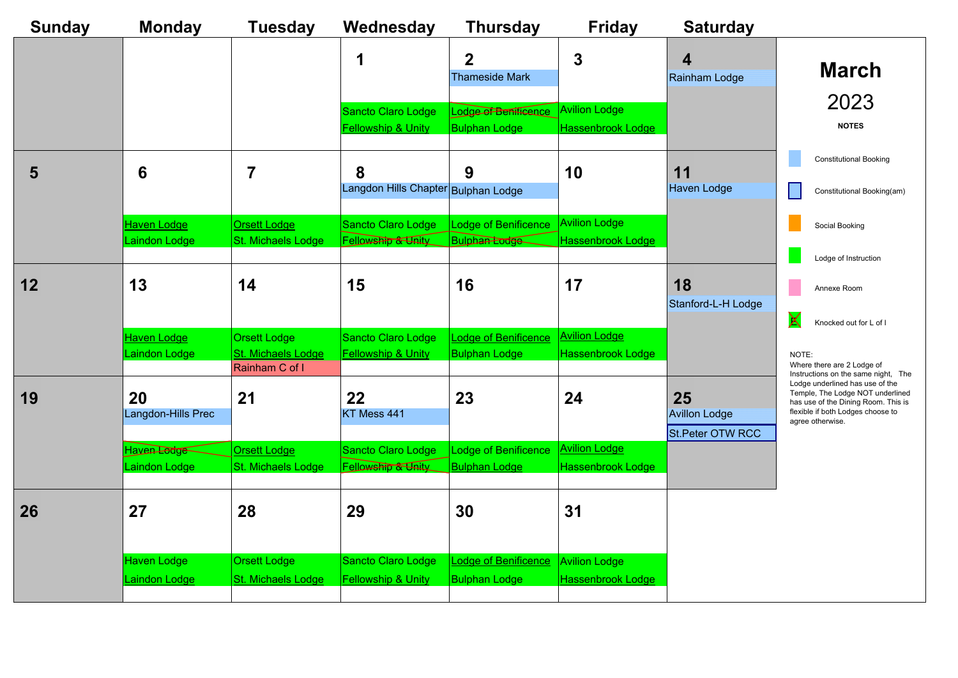| <b>Sunday</b> | <b>Monday</b>                              | <b>Tuesday</b>                                                     | Wednesday                                                  | <b>Thursday</b>                                     | <b>Friday</b>                                    | <b>Saturday</b>                                |                                                                                                                                                                     |
|---------------|--------------------------------------------|--------------------------------------------------------------------|------------------------------------------------------------|-----------------------------------------------------|--------------------------------------------------|------------------------------------------------|---------------------------------------------------------------------------------------------------------------------------------------------------------------------|
|               |                                            |                                                                    |                                                            | $\bf{2}$<br><b>Thameside Mark</b>                   | 3                                                | 4<br><b>Rainham Lodge</b>                      | <b>March</b>                                                                                                                                                        |
|               |                                            |                                                                    | Sancto Claro Lodge<br><b>Fellowship &amp; Unity</b>        | Lodge of Benificence<br><b>Bulphan Lodge</b>        | <b>Avilion Lodge</b><br><b>Hassenbrook Lodge</b> |                                                | 2023<br><b>NOTES</b>                                                                                                                                                |
| 5             | 6                                          | 7                                                                  | 8<br>Langdon Hills Chapter Bulphan Lodge                   | 9                                                   | 10                                               | 11<br><b>Haven Lodge</b>                       | <b>Constitutional Booking</b><br>Constitutional Booking(am)                                                                                                         |
|               | <b>Haven Lodge</b><br>Laindon Lodge        | Orsett Lodge<br><b>St. Michaels Lodge</b>                          | <b>Sancto Claro Lodge</b><br>Fellowship & Unity            | Lodge of Benificence<br><b>Bulphan Lodge</b>        | <b>Avilion Lodge</b><br><b>Hassenbrook Lodge</b> |                                                | Social Booking<br>Lodge of Instruction                                                                                                                              |
| 12            | 13                                         | 14                                                                 | 15                                                         | 16                                                  | 17                                               | 18<br>Stanford-L-H Lodge                       | Annexe Room<br>X<br>Knocked out for L of I                                                                                                                          |
|               | <b>Haven Lodge</b><br>Laindon Lodge        | <b>Orsett Lodge</b><br><b>St. Michaels Lodge</b><br>Rainham C of I | <b>Sancto Claro Lodge</b><br><b>Fellowship &amp; Unity</b> | <b>Lodge of Benificence</b><br><b>Bulphan Lodge</b> | <u>Avilion Lodge</u><br>Hassenbrook Lodge        |                                                | NOTE:<br>Where there are 2 Lodge of<br>Instructions on the same night, The                                                                                          |
| 19            | <b>20</b><br>Langdon-Hills Prec            | 21                                                                 | 22<br>KT Mess 441                                          | 23                                                  | 24                                               | 25<br><b>Avillon Lodge</b><br>St.Peter OTW RCC | Lodge underlined has use of the<br>Temple, The Lodge NOT underlined<br>has use of the Dining Room. This is<br>flexible if both Lodges choose to<br>agree otherwise. |
|               | Haven Lodge<br>Laindon Lodge               | Orsett Lodge<br>St. Michaels Lodge                                 | <b>Sancto Claro Lodge</b><br>Fellowship & Unity            | Lodge of Benificence<br><b>Bulphan Lodge</b>        | <b>Avilion Lodge</b><br>Hassenbrook Lodge        |                                                |                                                                                                                                                                     |
| <b>26</b>     | 27                                         | 28                                                                 | 29                                                         | 30                                                  | 31                                               |                                                |                                                                                                                                                                     |
|               | <b>Haven Lodge</b><br><b>Laindon Lodge</b> | <b>Orsett Lodge</b><br>St. Michaels Lodge                          | <b>Sancto Claro Lodge</b><br><b>Fellowship &amp; Unity</b> | Lodge of Benificence<br><b>Bulphan Lodge</b>        | <b>Avilion Lodge</b><br>Hassenbrook Lodge        |                                                |                                                                                                                                                                     |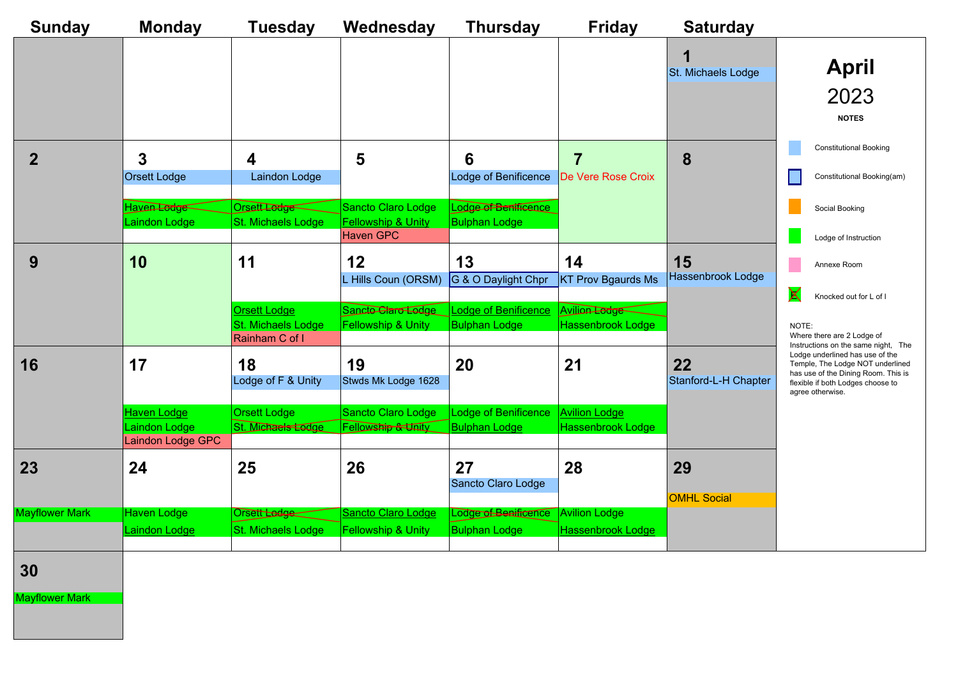| <b>Sunday</b>         | <b>Monday</b>        | <b>Tuesday</b>                            | Wednesday                                           | <b>Thursday</b>                                     | <b>Friday</b>                             | <b>Saturday</b>            |                           |
|-----------------------|----------------------|-------------------------------------------|-----------------------------------------------------|-----------------------------------------------------|-------------------------------------------|----------------------------|---------------------------|
|                       |                      |                                           |                                                     |                                                     |                                           |                            |                           |
|                       |                      |                                           |                                                     |                                                     |                                           | St. Michaels Lodge         |                           |
|                       |                      |                                           |                                                     |                                                     |                                           |                            |                           |
|                       |                      |                                           |                                                     |                                                     |                                           |                            |                           |
|                       |                      |                                           |                                                     |                                                     |                                           |                            |                           |
|                       | 3                    | 4                                         | 5                                                   | 6                                                   |                                           | 8                          |                           |
|                       | <b>Orsett Lodge</b>  | Laindon Lodge                             |                                                     | Lodge of Benificence                                | De Vere Rose Croix                        |                            |                           |
|                       |                      |                                           |                                                     |                                                     |                                           |                            |                           |
|                       | Haven Lodge          | Orsett Ledge                              | <b>Sancto Claro Lodge</b>                           | Lodge of Benificance                                |                                           |                            |                           |
|                       | Laindon Lodge        | St. Michaels Lodge                        | <b>Fellowship &amp; Unity</b>                       | <b>Bulphan Lodge</b>                                |                                           |                            |                           |
|                       |                      |                                           | <b>Haven GPC</b>                                    |                                                     |                                           |                            |                           |
| 9                     | 10                   | 11                                        | 12                                                  | 13                                                  | 14                                        | 15                         |                           |
|                       |                      |                                           | L Hills Coun (ORSM)                                 | G & O Daylight Chpr                                 | <b>KT Prov Bgaurds Ms</b>                 | <b>Hassenbrook Lodge</b>   |                           |
|                       |                      |                                           |                                                     |                                                     |                                           |                            | $\bm{\mathsf{X}}$         |
|                       |                      | <b>Orsett Lodge</b><br>St. Michaels Lodge | Sancto Claro Lodge<br><b>Fellowship &amp; Unity</b> | <b>Lodge of Benificence</b><br><b>Bulphan Lodge</b> | Avilion Lodge<br><b>Hassenbrook Lodge</b> |                            | <b>NOTE</b>               |
|                       |                      | Rainham C of I                            |                                                     |                                                     |                                           |                            | Where                     |
|                       |                      |                                           |                                                     |                                                     |                                           |                            | Instruc<br>Lodge<br>Templ |
| 16                    | 17                   | 18<br>Lodge of F & Unity                  | 19<br>Stwds Mk Lodge 1628                           | <b>20</b>                                           | 21                                        | 22<br>Stanford-L-H Chapter | has us<br>flexible        |
|                       |                      |                                           |                                                     |                                                     |                                           |                            | agree                     |
|                       | <b>Haven Lodge</b>   | <b>Orsett Lodge</b>                       | <b>Sancto Claro Lodge</b>                           | <b>Lodge of Benificence</b>                         | <b>Avilion Lodge</b>                      |                            |                           |
|                       | Laindon Lodge        | St. Michaels Lodge                        | <b>Fellowship &amp; Unity</b>                       | <b>Bulphan Lodge</b>                                | <b>Hassenbrook Lodge</b>                  |                            |                           |
|                       | Laindon Lodge GPC    |                                           |                                                     |                                                     |                                           |                            |                           |
| 23                    | 24                   | 25                                        | 26                                                  | 27                                                  | 28                                        | 29                         |                           |
|                       |                      |                                           |                                                     | Sancto Claro Lodge                                  |                                           |                            |                           |
| Mayflower Mark        | <b>Haven Lodge</b>   |                                           | <b>Sancto Claro Lodge</b>                           | Lodge of Benificance                                | <b>Avilion Lodge</b>                      | <b>OMHL Social</b>         |                           |
|                       | <b>Laindon Lodge</b> | Orsett Ladge<br>St. Michaels Lodge        | <b>Fellowship &amp; Unity</b>                       | <b>Bulphan Lodge</b>                                | <b>Hassenbrook Lodge</b>                  |                            |                           |
|                       |                      |                                           |                                                     |                                                     |                                           |                            |                           |
|                       |                      |                                           |                                                     |                                                     |                                           |                            |                           |
| 30                    |                      |                                           |                                                     |                                                     |                                           |                            |                           |
| <b>Mayflower Mark</b> |                      |                                           |                                                     |                                                     |                                           |                            |                           |

![](_page_7_Figure_1.jpeg)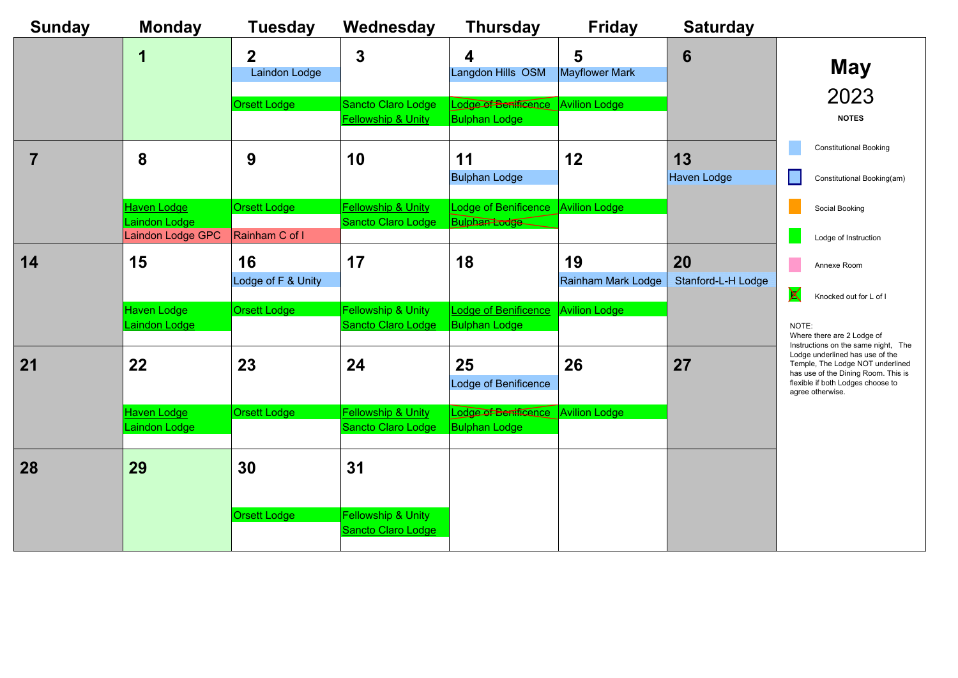![](_page_8_Figure_1.jpeg)

| <b>Sunday</b> | <b>Monday</b>                                            | <b>Tuesday</b>                        | Wednesday                                                  | <b>Thursday</b>                                            | <b>Friday</b>                   | <b>Saturday</b>          |
|---------------|----------------------------------------------------------|---------------------------------------|------------------------------------------------------------|------------------------------------------------------------|---------------------------------|--------------------------|
|               | 1                                                        | 2<br><b>Laindon Lodge</b>             | 3                                                          | 4<br>Langdon Hills OSM                                     | 5<br>Mayflower Mark             | 6                        |
|               |                                                          | <b>Orsett Lodge</b>                   | <b>Sancto Claro Lodge</b><br><b>Fellowship &amp; Unity</b> | Lodge of Benificance<br><b>Bulphan Lodge</b>               | <b>Avilion Lodge</b>            |                          |
|               | 8                                                        | 9                                     | 10                                                         | 11<br><b>Bulphan Lodge</b>                                 | 12                              | 13<br><b>Haven Lodge</b> |
|               | <b>Haven Lodge</b><br>Laindon Lodge<br>Laindon Lodge GPC | <b>Orsett Lodge</b><br>Rainham C of I | <b>Fellowship &amp; Unity</b><br>Sancto Claro Lodge        | <b>Lodge of Benificence</b><br><b>Bulphan Lodge</b>        | <b>Avilion Lodge</b>            |                          |
| 14            | 15                                                       | 16<br>Lodge of F & Unity              | 17                                                         | 18                                                         | 19<br><b>Rainham Mark Lodge</b> | 20<br>Stanford-L-H Lodge |
|               | <b>Haven Lodge</b><br><b>Laindon Lodge</b>               | <b>Orsett Lodge</b>                   | <b>Fellowship &amp; Unity</b><br>Sancto Claro Lodge        | <b>Lodge of Benificence</b><br><b>Bulphan Lodge</b>        | <b>Avilion Lodge</b>            |                          |
| 21            | 22                                                       | 23                                    | 24                                                         | 25<br>Lodge of Benificence                                 | 26                              | 27                       |
|               | <b>Haven Lodge</b><br>Laindon Lodge                      | <b>Orsett Lodge</b>                   | <b>Fellowship &amp; Unity</b><br>Sancto Claro Lodge        | Lodge of Benificance Avilion Lodge<br><b>Bulphan Lodge</b> |                                 |                          |
| 28            | 29                                                       | 30                                    | 31                                                         |                                                            |                                 |                          |
|               |                                                          | <b>Orsett Lodge</b>                   | <b>Fellowship &amp; Unity</b><br><b>Sancto Claro Lodge</b> |                                                            |                                 |                          |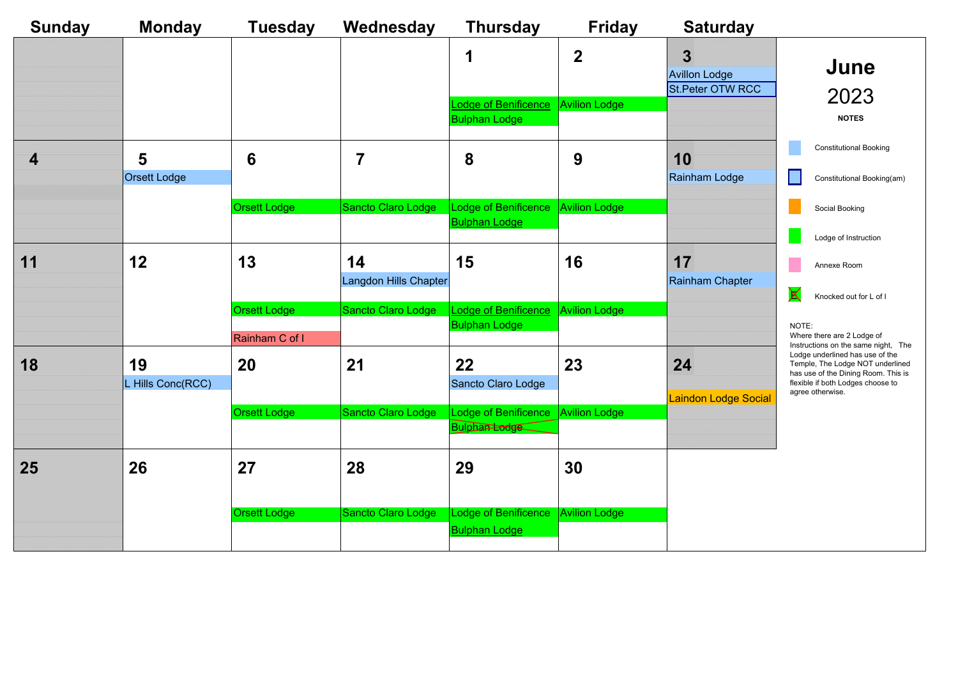| <b>Sunday</b>           | <b>Monday</b>            | <b>Tuesday</b>      | Wednesday                   | <b>Thursday</b>                                              | <b>Friday</b>        | <b>Saturday</b>                          |                                                                                                                                                 |
|-------------------------|--------------------------|---------------------|-----------------------------|--------------------------------------------------------------|----------------------|------------------------------------------|-------------------------------------------------------------------------------------------------------------------------------------------------|
|                         |                          |                     |                             |                                                              | $\boldsymbol{2}$     | <b>Avillon Lodge</b><br>St.Peter OTW RCC | June<br>2023                                                                                                                                    |
|                         |                          |                     |                             | <b>Lodge of Benificence</b><br><b>Bulphan Lodge</b>          | <b>Avilion Lodge</b> |                                          | <b>NOTES</b>                                                                                                                                    |
| $\overline{\mathbf{4}}$ | 5<br><b>Orsett Lodge</b> | $6\phantom{1}6$     | 7                           | 8                                                            | 9                    | 10<br><b>Rainham Lodge</b>               | <b>Constitutional Booking</b><br>Constitutional Booking(am)                                                                                     |
|                         |                          | <b>Orsett Lodge</b> | Sancto Claro Lodge          | Lodge of Benificence<br><b>Bulphan Lodge</b>                 | <b>Avilion Lodge</b> |                                          | Social Booking                                                                                                                                  |
|                         |                          |                     |                             |                                                              |                      |                                          | Lodge of Instruction                                                                                                                            |
| 11                      | 12                       | 13                  | 14<br>Langdon Hills Chapter | 15                                                           | 16                   | 17<br>Rainham Chapter                    | Annexe Room                                                                                                                                     |
|                         |                          | <b>Orsett Lodge</b> | Sancto Claro Lodge          | <b>Lodge of Benificence</b>                                  | <b>Avilion Lodge</b> |                                          | $\bm{\mathsf{X}}$<br>Knocked out for L of I                                                                                                     |
|                         |                          | Rainham C of I      |                             | <b>Bulphan Lodge</b>                                         |                      |                                          | NOTE:<br>Where there are 2 Lodge of<br>Instructions on the same night, The                                                                      |
| 18                      | 19<br>L Hills Conc(RCC)  | <b>20</b>           | 21                          | 22<br>Sancto Claro Lodge                                     | 23                   | 24                                       | Lodge underlined has use of the<br>Temple, The Lodge NOT underlined<br>has use of the Dining Room. This is<br>flexible if both Lodges choose to |
|                         |                          |                     |                             |                                                              |                      | <b>Laindon Lodge Social</b>              | agree otherwise.                                                                                                                                |
|                         |                          | <b>Orsett Lodge</b> | Sancto Claro Lodge          | Lodge of Benificence   Avilion Lodge<br><b>Bulphan Lodge</b> |                      |                                          |                                                                                                                                                 |
| <b>25</b>               | 26                       | 27                  | 28                          | 29                                                           | 30                   |                                          |                                                                                                                                                 |
|                         |                          | <b>Orsett Lodge</b> | Sancto Claro Lodge          | Lodge of Benificence<br><b>Bulphan Lodge</b>                 | <b>Avilion Lodge</b> |                                          |                                                                                                                                                 |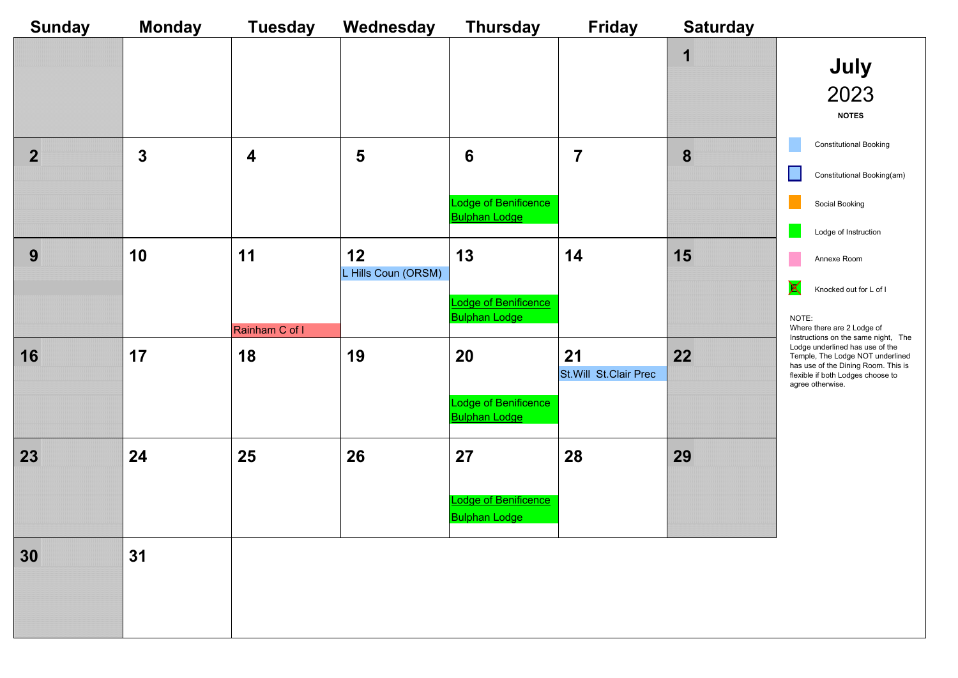![](_page_10_Picture_1.jpeg)

| <b>Sunday</b> | <b>Monday</b> | <b>Tuesday</b>          | Wednesday           | <b>Thursday</b>                              | <b>Friday</b>                 | <b>Saturday</b> |
|---------------|---------------|-------------------------|---------------------|----------------------------------------------|-------------------------------|-----------------|
|               |               |                         |                     |                                              |                               | 1               |
|               |               |                         |                     |                                              |                               |                 |
|               |               |                         |                     |                                              |                               |                 |
|               |               |                         |                     |                                              |                               |                 |
| $\mathbf{2}$  | $\mathbf{3}$  | $\overline{\mathbf{4}}$ | 5                   | $6\phantom{1}6$                              | 7                             | 8               |
|               |               |                         |                     |                                              |                               |                 |
|               |               |                         |                     | Lodge of Benificence<br><b>Bulphan Lodge</b> |                               |                 |
| 9             | 10            | 11                      | 12                  | 13                                           | 14                            | 15              |
|               |               |                         | L Hills Coun (ORSM) |                                              |                               |                 |
|               |               |                         |                     | Lodge of Benificence<br><b>Bulphan Lodge</b> |                               |                 |
|               |               | Rainham C of I          |                     |                                              |                               |                 |
| 16            | 17            | 18                      | 19                  | 20                                           | 21<br>St. Will St. Clair Prec | 22              |
|               |               |                         |                     |                                              |                               |                 |
|               |               |                         |                     | Lodge of Benificence<br><b>Bulphan Lodge</b> |                               |                 |
|               | 24            | 25                      | 26                  |                                              |                               |                 |
| 23            |               |                         |                     | 27                                           | 28                            | 29              |
|               |               |                         |                     | <b>Lodge of Benificence</b>                  |                               |                 |
|               |               |                         |                     | <b>Bulphan Lodge</b>                         |                               |                 |
| 30            | 31            |                         |                     |                                              |                               |                 |
|               |               |                         |                     |                                              |                               |                 |
|               |               |                         |                     |                                              |                               |                 |
|               |               |                         |                     |                                              |                               |                 |